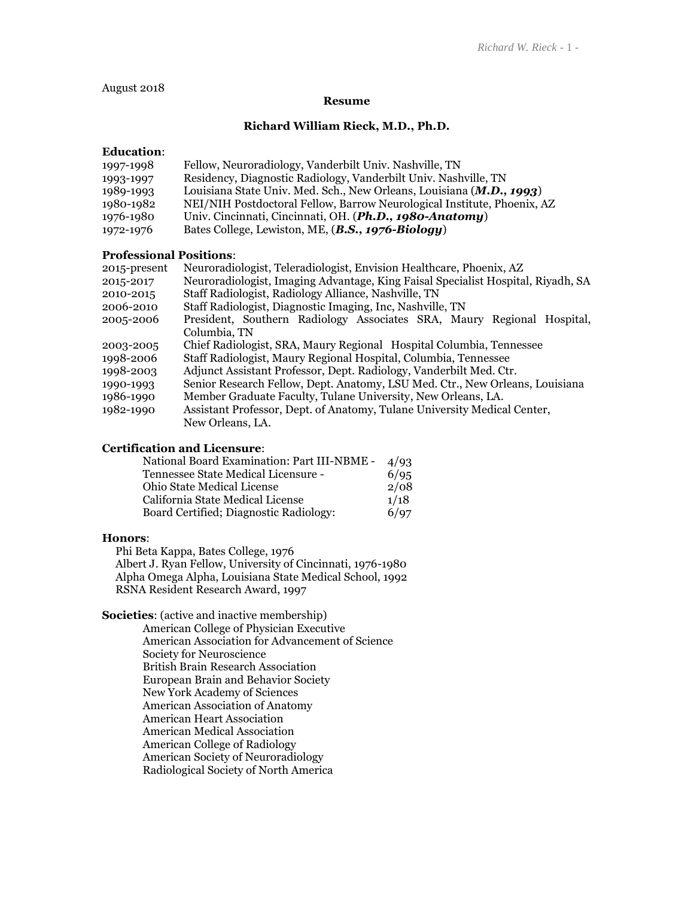August 2018

#### **Resume**

# **Richard William Rieck, M.D., Ph.D.**

#### **Education**:

| 1997-1998 | Fellow, Neuroradiology, Vanderbilt Univ. Nashville, TN                  |
|-----------|-------------------------------------------------------------------------|
| 1993-1997 | Residency, Diagnostic Radiology, Vanderbilt Univ. Nashville, TN         |
| 1989-1993 | Louisiana State Univ. Med. Sch., New Orleans, Louisiana (M.D., 1993)    |
| 1980-1982 | NEI/NIH Postdoctoral Fellow, Barrow Neurological Institute, Phoenix, AZ |
| 1976-1980 | Univ. Cincinnati, Cincinnati, OH. (Ph.D., 1980-Anatomy)                 |
| 1972-1976 | Bates College, Lewiston, ME, (B.S., 1976-Biology)                       |

# **Professional Positions**:

| 2015-present | Neuroradiologist, Teleradiologist, Envision Healthcare, Phoenix, AZ              |  |  |
|--------------|----------------------------------------------------------------------------------|--|--|
| 2015-2017    | Neuroradiologist, Imaging Advantage, King Faisal Specialist Hospital, Riyadh, SA |  |  |
| 2010-2015    | Staff Radiologist, Radiology Alliance, Nashville, TN                             |  |  |
| 2006-2010    | Staff Radiologist, Diagnostic Imaging, Inc, Nashville, TN                        |  |  |
| 2005-2006    | President, Southern Radiology Associates SRA, Maury Regional Hospital,           |  |  |
|              | Columbia. TN                                                                     |  |  |
| 2003-2005    | Chief Radiologist, SRA, Maury Regional Hospital Columbia, Tennessee              |  |  |
| 1998-2006    | Staff Radiologist, Maury Regional Hospital, Columbia, Tennessee                  |  |  |
| 1998-2003    | Adjunct Assistant Professor, Dept. Radiology, Vanderbilt Med. Ctr.               |  |  |
| 1990-1993    | Senior Research Fellow, Dept. Anatomy, LSU Med. Ctr., New Orleans, Louisiana     |  |  |
| 1986-1990    | Member Graduate Faculty, Tulane University, New Orleans, LA.                     |  |  |
| 1982-1990    | Assistant Professor, Dept. of Anatomy, Tulane University Medical Center,         |  |  |
|              | New Orleans, LA.                                                                 |  |  |

# **Certification and Licensure**:

| National Board Examination: Part III-NBME - 4/93 |      |
|--------------------------------------------------|------|
| Tennessee State Medical Licensure -              | 6/95 |
| <b>Ohio State Medical License</b>                | 2/08 |
| California State Medical License                 | 1/18 |
| Board Certified; Diagnostic Radiology:           | 6/97 |
|                                                  |      |

#### **Honors**:

 Phi Beta Kappa, Bates College, 1976 Albert J. Ryan Fellow, University of Cincinnati, 1976-1980 Alpha Omega Alpha, Louisiana State Medical School, 1992 RSNA Resident Research Award, 1997

# **Societies**: (active and inactive membership)

American College of Physician Executive American Association for Advancement of Science Society for Neuroscience British Brain Research Association European Brain and Behavior Society New York Academy of Sciences American Association of Anatomy American Heart Association American Medical Association American College of Radiology American Society of Neuroradiology Radiological Society of North America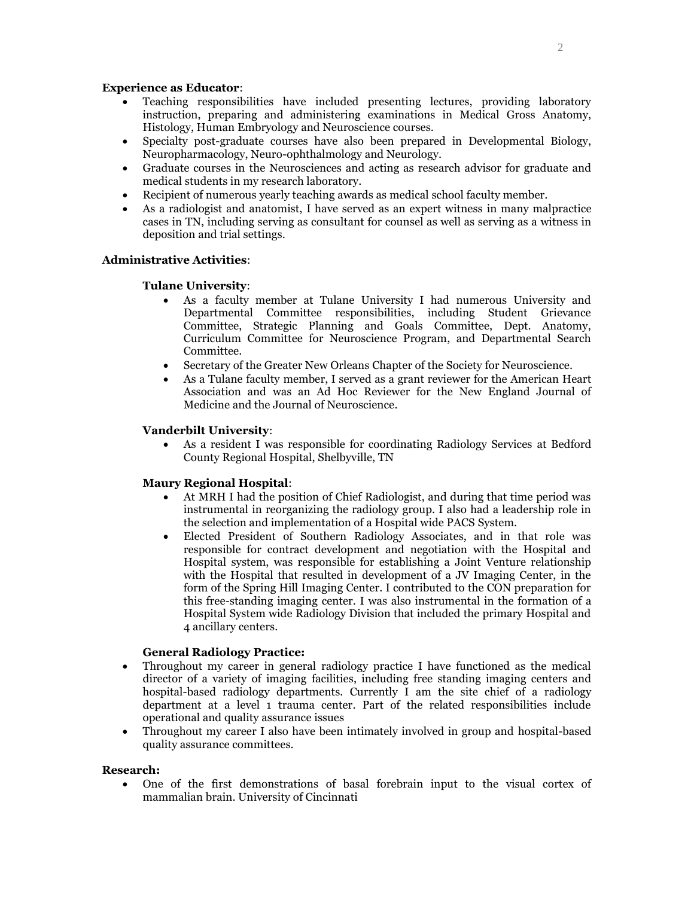# **Experience as Educator**:

- Teaching responsibilities have included presenting lectures, providing laboratory instruction, preparing and administering examinations in Medical Gross Anatomy, Histology, Human Embryology and Neuroscience courses.
- Specialty post-graduate courses have also been prepared in Developmental Biology, Neuropharmacology, Neuro-ophthalmology and Neurology.
- Graduate courses in the Neurosciences and acting as research advisor for graduate and medical students in my research laboratory.
- Recipient of numerous yearly teaching awards as medical school faculty member.
- As a radiologist and anatomist, I have served as an expert witness in many malpractice cases in TN, including serving as consultant for counsel as well as serving as a witness in deposition and trial settings.

### **Administrative Activities**:

# **Tulane University**:

- As a faculty member at Tulane University I had numerous University and Departmental Committee responsibilities, including Student Grievance Committee, Strategic Planning and Goals Committee, Dept. Anatomy, Curriculum Committee for Neuroscience Program, and Departmental Search Committee.
- Secretary of the Greater New Orleans Chapter of the Society for Neuroscience.
- As a Tulane faculty member, I served as a grant reviewer for the American Heart Association and was an Ad Hoc Reviewer for the New England Journal of Medicine and the Journal of Neuroscience.

### **Vanderbilt University**:

 As a resident I was responsible for coordinating Radiology Services at Bedford County Regional Hospital, Shelbyville, TN

# **Maury Regional Hospital**:

- At MRH I had the position of Chief Radiologist, and during that time period was instrumental in reorganizing the radiology group. I also had a leadership role in the selection and implementation of a Hospital wide PACS System.
- Elected President of Southern Radiology Associates, and in that role was responsible for contract development and negotiation with the Hospital and Hospital system, was responsible for establishing a Joint Venture relationship with the Hospital that resulted in development of a JV Imaging Center, in the form of the Spring Hill Imaging Center. I contributed to the CON preparation for this free-standing imaging center. I was also instrumental in the formation of a Hospital System wide Radiology Division that included the primary Hospital and 4 ancillary centers.

# **General Radiology Practice:**

- Throughout my career in general radiology practice I have functioned as the medical director of a variety of imaging facilities, including free standing imaging centers and hospital-based radiology departments. Currently I am the site chief of a radiology department at a level 1 trauma center. Part of the related responsibilities include operational and quality assurance issues
- Throughout my career I also have been intimately involved in group and hospital-based quality assurance committees.

#### **Research:**

 One of the first demonstrations of basal forebrain input to the visual cortex of mammalian brain. University of Cincinnati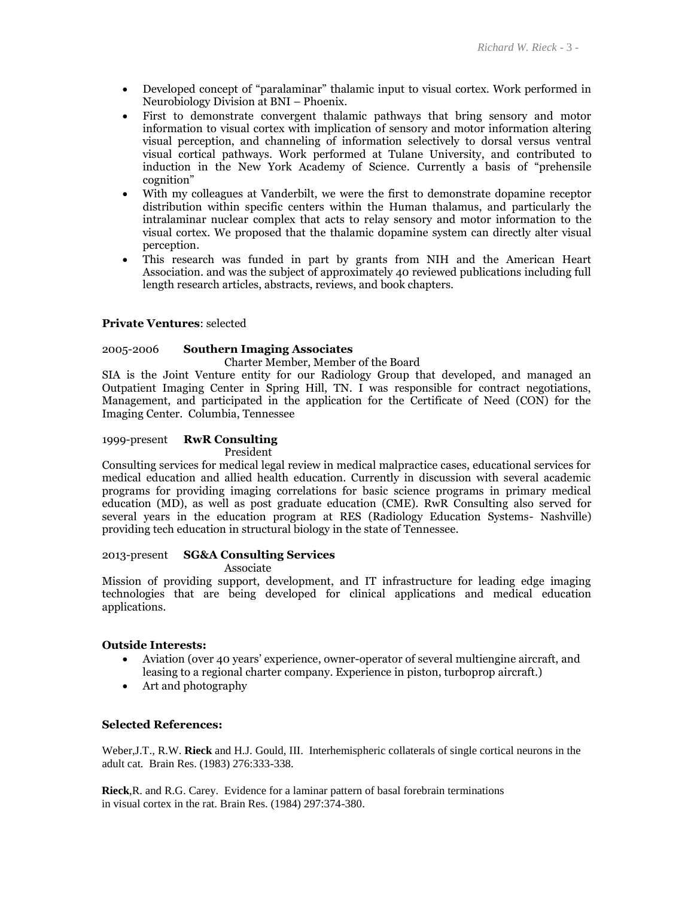- Developed concept of "paralaminar" thalamic input to visual cortex. Work performed in Neurobiology Division at BNI – Phoenix.
- First to demonstrate convergent thalamic pathways that bring sensory and motor information to visual cortex with implication of sensory and motor information altering visual perception, and channeling of information selectively to dorsal versus ventral visual cortical pathways. Work performed at Tulane University, and contributed to induction in the New York Academy of Science. Currently a basis of "prehensile cognition"
- With my colleagues at Vanderbilt, we were the first to demonstrate dopamine receptor distribution within specific centers within the Human thalamus, and particularly the intralaminar nuclear complex that acts to relay sensory and motor information to the visual cortex. We proposed that the thalamic dopamine system can directly alter visual perception.
- This research was funded in part by grants from NIH and the American Heart Association. and was the subject of approximately 40 reviewed publications including full length research articles, abstracts, reviews, and book chapters.

# **Private Ventures**: selected

# 2005-2006 **Southern Imaging Associates**

Charter Member, Member of the Board

SIA is the Joint Venture entity for our Radiology Group that developed, and managed an Outpatient Imaging Center in Spring Hill, TN. I was responsible for contract negotiations, Management, and participated in the application for the Certificate of Need (CON) for the Imaging Center. Columbia, Tennessee

# 1999-present **RwR Consulting**

President

Consulting services for medical legal review in medical malpractice cases, educational services for medical education and allied health education. Currently in discussion with several academic programs for providing imaging correlations for basic science programs in primary medical education (MD), as well as post graduate education (CME). RwR Consulting also served for several years in the education program at RES (Radiology Education Systems- Nashville) providing tech education in structural biology in the state of Tennessee.

# 2013-present **SG&A Consulting Services**

Associate

Mission of providing support, development, and IT infrastructure for leading edge imaging technologies that are being developed for clinical applications and medical education applications.

# **Outside Interests:**

- Aviation (over 40 years' experience, owner-operator of several multiengine aircraft, and leasing to a regional charter company. Experience in piston, turboprop aircraft.)
- Art and photography

# **Selected References:**

Weber,J.T., R.W. **Rieck** and H.J. Gould, III. Interhemispheric collaterals of single cortical neurons in the adult cat. Brain Res. (1983) 276:333-338.

**Rieck**,R. and R.G. Carey. Evidence for a laminar pattern of basal forebrain terminations in visual cortex in the rat. Brain Res. (1984) 297:374-380.